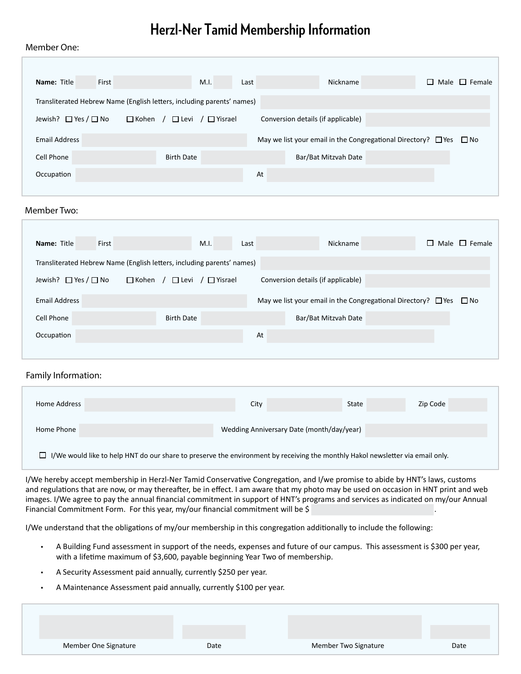### **Herzl-Ner Tamid Membership Information**

#### Member One:

| <b>Name: Title</b><br>First                                            | M.I.                                           |      | Nickname                                                                     | $\Box$ Male $\Box$ Female |
|------------------------------------------------------------------------|------------------------------------------------|------|------------------------------------------------------------------------------|---------------------------|
|                                                                        |                                                | Last |                                                                              |                           |
| Transliterated Hebrew Name (English letters, including parents' names) |                                                |      |                                                                              |                           |
| Jewish? $\Box$ Yes / $\Box$ No                                         | $\Box$ Levi / $\Box$ Yisrael<br>$\Box$ Kohen / |      | Conversion details (if applicable)                                           |                           |
| <b>Email Address</b>                                                   |                                                |      | May we list your email in the Congregational Directory? $\Box$ Yes $\Box$ No |                           |
| Cell Phone                                                             | <b>Birth Date</b>                              |      | Bar/Bat Mitzvah Date                                                         |                           |
| Occupation                                                             |                                                | At   |                                                                              |                           |
|                                                                        |                                                |      |                                                                              |                           |
| Member Two:                                                            |                                                |      |                                                                              |                           |

| First<br>Name: Title           | M.I.                                                                   | Nickname<br>Last                                                             | $\Box$ Male $\Box$ Female |
|--------------------------------|------------------------------------------------------------------------|------------------------------------------------------------------------------|---------------------------|
|                                | Transliterated Hebrew Name (English letters, including parents' names) |                                                                              |                           |
| Jewish? $\Box$ Yes / $\Box$ No | $\Box$ Kohen /<br>$\sqrt{\phantom{a}}$ Misrael<br>$\Box$ Levi          | Conversion details (if applicable)                                           |                           |
| Email Address                  |                                                                        | May we list your email in the Congregational Directory? $\Box$ Yes $\Box$ No |                           |
| Cell Phone                     | <b>Birth Date</b>                                                      | Bar/Bat Mitzvah Date                                                         |                           |
| Occupation                     |                                                                        | At                                                                           |                           |

#### Family Information:

| Home Address                                                                                                                   | City                                      | State | Zip Code |
|--------------------------------------------------------------------------------------------------------------------------------|-------------------------------------------|-------|----------|
| Home Phone                                                                                                                     | Wedding Anniversary Date (month/day/year) |       |          |
| I/We would like to help HNT do our share to preserve the environment by receiving the monthly Hakol newsletter via email only. |                                           |       |          |

I/We hereby accept membership in Herzl-Ner Tamid Conservative Congregation, and I/we promise to abide by HNT's laws, customs and regulations that are now, or may thereafter, be in effect. I am aware that my photo may be used on occasion in HNT print and web images. I/We agree to pay the annual financial commitment in support of HNT's programs and services as indicated on my/our Annual Financial Commitment Form. For this year, my/our financial commitment will be  $\frac{1}{2}$ 

I/We understand that the obligations of my/our membership in this congregation additionally to include the following:

- A Building Fund assessment in support of the needs, expenses and future of our campus. This assessment is \$300 per year, with a lifetime maximum of \$3,600, payable beginning Year Two of membership.
- A Security Assessment paid annually, currently \$250 per year.
- A Maintenance Assessment paid annually, currently \$100 per year.

Member One Signature Date Member Two Signature Date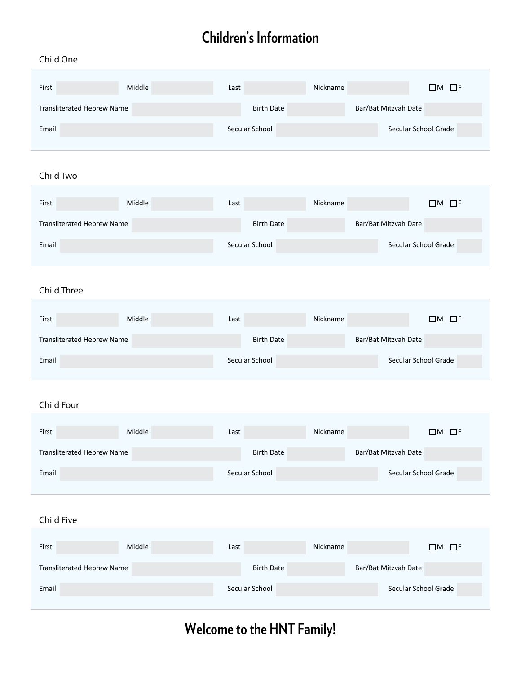## **Children's Information**

#### Child One

| First                      | Middle | Last |                   | Nickname |                      | $\Box M$ $\Box F$    |
|----------------------------|--------|------|-------------------|----------|----------------------|----------------------|
| Transliterated Hebrew Name |        |      | <b>Birth Date</b> |          | Bar/Bat Mitzvah Date |                      |
| Email                      |        |      | Secular School    |          |                      | Secular School Grade |

#### Child Two

| First                      | Middle | Last |                   | Nickname |                      | $\Box M$ $\Box F$    |
|----------------------------|--------|------|-------------------|----------|----------------------|----------------------|
| Transliterated Hebrew Name |        |      | <b>Birth Date</b> |          | Bar/Bat Mitzvah Date |                      |
| Email                      |        |      | Secular School    |          |                      | Secular School Grade |

#### Child Three

| First                      | Middle | Last |                   | Nickname |                      | $\Box M$ $\Box F$ |
|----------------------------|--------|------|-------------------|----------|----------------------|-------------------|
| Transliterated Hebrew Name |        |      | <b>Birth Date</b> |          | Bar/Bat Mitzvah Date |                   |
| Email                      |        |      | Secular School    |          | Secular School Grade |                   |

#### Child Four

| First                      | Middle | Last |                   | Nickname |                      | $\Box M$ $\Box F$    |
|----------------------------|--------|------|-------------------|----------|----------------------|----------------------|
| Transliterated Hebrew Name |        |      | <b>Birth Date</b> |          | Bar/Bat Mitzvah Date |                      |
| Email                      |        |      | Secular School    |          |                      | Secular School Grade |

#### Child Five

| First                      | Middle | Last |                   | Nickname |                      | $\Box$ M $\Box$ F |
|----------------------------|--------|------|-------------------|----------|----------------------|-------------------|
| Transliterated Hebrew Name |        |      | <b>Birth Date</b> |          | Bar/Bat Mitzvah Date |                   |
| Email                      |        |      | Secular School    |          | Secular School Grade |                   |

# **Welcome to the HNT Family!**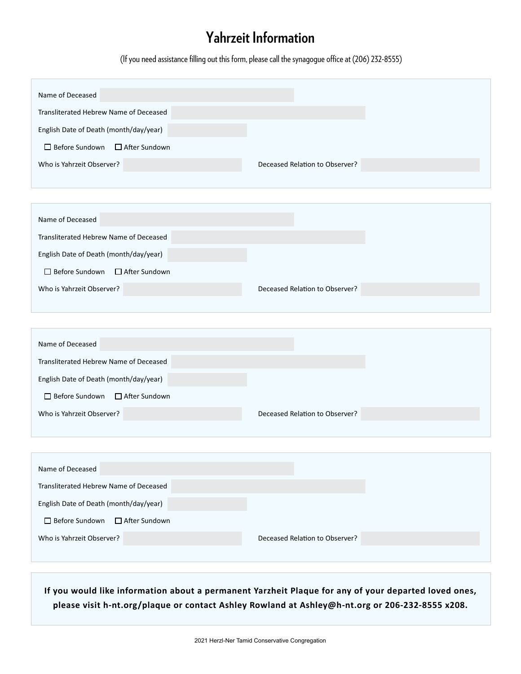### **Yahrzeit Information**

(If you need assistance filling out this form, please call the synagogue office at (206) 232-8555)

| Name of Deceased                         |                                |
|------------------------------------------|--------------------------------|
| Transliterated Hebrew Name of Deceased   |                                |
| English Date of Death (month/day/year)   |                                |
| □ Before Sundown<br>$\Box$ After Sundown |                                |
| Who is Yahrzeit Observer?                | Deceased Relation to Observer? |
|                                          |                                |
|                                          |                                |
| Name of Deceased                         |                                |
| Transliterated Hebrew Name of Deceased   |                                |
| English Date of Death (month/day/year)   |                                |
| □ Before Sundown<br>□ After Sundown      |                                |
| Who is Yahrzeit Observer?                | Deceased Relation to Observer? |
|                                          |                                |
|                                          |                                |
| Name of Deceased                         |                                |
| Transliterated Hebrew Name of Deceased   |                                |
| English Date of Death (month/day/year)   |                                |
| □ Before Sundown<br>□ After Sundown      |                                |
| Who is Yahrzeit Observer?                | Deceased Relation to Observer? |
|                                          |                                |
|                                          |                                |
|                                          |                                |
| Name of Deceased                         |                                |
| Transliterated Hebrew Name of Deceased   |                                |
| English Date of Death (month/day/year)   |                                |
| □ Before Sundown<br>□ After Sundown      |                                |
| Who is Yahrzeit Observer?                | Deceased Relation to Observer? |
|                                          |                                |

**If you would like information about a permanent Yarzheit Plaque for any of your departed loved ones, please visit h-nt.org/plaque or contact Ashley Rowland at Ashley@h-nt.org or 206-232-8555 x208.**